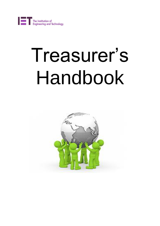

# Treasurer's Handbook

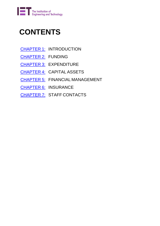

## **CONTENTS**

- [CHAPTER](#page-2-0) 1: INTRODUCTION
- [CHAPTER](#page-3-0) 2: FUNDING
- [CHAPTER](#page-11-0) 3: EXPENDITURE
- [CHAPTER](#page-22-0) 4: CAPITAL ASSETS
- [CHAPTER](#page-26-0) 5: FINANCIAL MANAGEMENT
- [CHAPTER](#page-32-0) 6: INSURANCE
- [CHAPTER](#page-33-0) 7: STAFF CONTACTS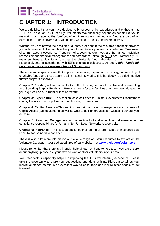

## <span id="page-2-0"></span>**CHAPTER 1: INTRODUCTION**

We are delighted that you have decided to bring your skills, experience and enthusiasm to IET as one of our many volunteers. We absolutely depend on people like you to maintain our place at the forefront of engineering and technology. You are part of an exceptional team of over 4,000 volunteers, working in the UK and internationally.

Whether you are new to the position or already proficient in the role, this handbook provides you with the essential information that you will need to fulfil your responsibilities as **'Treasurer'** of an IET Local Network. As 'Treasurer' of a Local Network, you are the named individual responsible for financial management and compliance, although ALL Local Network ("LN") members have a duty to ensure that the charitable funds allocated to them are spent responsibly and in accordance with IET's charitable objectives. As such, *this handbook provides a necessary resource for all LN members***.**

There are some specific rules that apply to the securing, spending, recording, and reporting of charitable funds and these apply to all IET Local Networks. This handbook is divided into five further chapters as follows:

**Chapter 2: Funding** – This section looks at IET Funding for your Local Network, Generating and Spending Surplus Funds and How to account for any facilities that have been donated to you e.g. free use of a room or lecture theatre.

**Chapter 3: Expenditure** – This section looks at Expense Claims, Government Procurement Cards, Invoices from Suppliers, and Authorising Expenditure.

**Chapter 4: Capital Assets** – This section looks at the buying, management and disposal of Capital Assets (e.g. equipment) as well as what to do if an organisation wishes to donate you an asset.

**Chapter 5: Financial Management** – This section looks at other financial management and compliance responsibilities for UK and Non-UK Local Networks respectively.

**Chapter 6: Insurance** – This section briefly touches on the different types of insurance that Local Networks need to consider.

There is also a lot more information and a wide range of useful resources to explore on the Volunteer Gateway – your dedicated area of our website – at **[www.theiet.org/volunteers](http://www.theiet.org/volunteers)**

Please remember that there is a friendly, helpful team on hand to help too. If you are unsure about anything, please ask your staff contact or other volunteers in your area.

Your feedback is especially helpful in improving the IET's volunteering experience. Please take the opportunity to share your suggestions and ideas with us. Please also tell us your individual stories as this is an excellent way to encourage and inspire other people to get involved.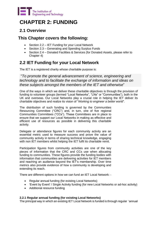

## <span id="page-3-0"></span>**CHAPTER 2: FUNDING**

## **2.1 Overview**

## **This Chapter covers the following:**

- Section 2.2 IET Funding for your Local Network
- Section 2.3 Generating and Spending Surplus Funds
- Section 2.4 Donated Facilities & Services (for Donated Assets, please refer to Chapter 4)

## **2.2 IET Funding for your Local Network**

The IET is a registered charity whose charitable purpose is:

"*To promote the general advancement of science, engineering and technology and to facilitate the exchange of information and ideas on these subjects amongst the members of the IET and otherwise*"

One of the ways in which we deliver these charitable objectives is through the provision of funding to volunteer groups (termed "Local Networks", "LNs" or "Communities"), both in the UK and overseas. Our Local Networks play a crucial role in helping the IET deliver its charitable objectives and realize its vision of "*Working to engineer a better world*".

The distribution of such funding is governed by the Communities [Resourcing](http://mycommunity.theiet.org/blogs/751/1807) Committee ("CRC") and, in turn, one of five regional Communities Committees ("CCs"). These Committees are in place to ensure that we support our Local Networks in making as effective and efficient use of resources as possible in delivering this charitable activity.

Delegate or attendance figures for each community activity are an essential metric used to measure success and prove the value of community activity in terms of sharing technical knowledge, engaging with non IET members whilst helping the IET fulfil its charitable remit.

Participation figures from community activities are one of the key pieces of information that the CRC and CCs use when allocating funding to communities. These figures provide the funding bodies with information that communities are delivering activities for IET members and reaching an audience beyond the IET's membership. Over time metrics also provide evidence of how a community is developing and extending its reach.

There are different options in how we can fund an IET Local Network: -

- Regular annual funding (for existing Local Networks)
- 'Event by Event' / Single Activity funding (for new Local Networks or ad-hoc activity)
- Additional resource funding

#### **2.2.1 Regular annual funding (for existing Local Networks)**

The principal way in which an existing IET Local Network is funded is through regular 'annual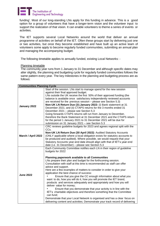

funding'. Most of our long-standing LNs apply for this funding in advance. This is a good option for a group of volunteers that have a longer-term vision and the volunteer input to support the realization of that vision. It can enable volunteers to theme a series of events or activities.

The IET supports several Local Networks around the world that deliver an annual programme of activities on behalf of the IET. Often these groups start by delivering just one or two activities, but once they become established and have built up an active team of volunteers some apply to become regularly funded communities, submitting an annual plan and managing the accompanying budget.

The following timetable applies to annually funded, existing Local Networks: -

#### Planning timetable

The community year runs from 1 January to 31 December and although specific dates may alter slightly, the planning and budgeting cycle for regularly funded communities follows the same pattern every year. The key milestones in the planning and budgeting process are as follows:

| <b>Communities Planning Cycle</b> |                                                                                |  |  |  |
|-----------------------------------|--------------------------------------------------------------------------------|--|--|--|
|                                   | Start of the session. LNs start to manage spend for the new session            |  |  |  |
|                                   | against their final approved budget.                                           |  |  |  |
|                                   | LNs outside the UK receive the first 50% of their approved funding (the        |  |  |  |
|                                   | balance is available once satisfactory independently reviewed accounts         |  |  |  |
|                                   | are received for the previous session - please see Section 5.3)                |  |  |  |
|                                   | Non-UK LN Return Due (31 January 2022: (i) Bank statement at 31                |  |  |  |
| January 2022                      | December 2021; and (ii) CTAPS returns for the 3 months ended 31                |  |  |  |
|                                   | December 2021 - please see Section 5.3                                         |  |  |  |
|                                   | Going forwards CTAPS returns will run from January to December,                |  |  |  |
|                                   | therefore the Bank Statement at 31 December 2021 and the CTAPS return          |  |  |  |
|                                   | for the period 1 January 2021 to 31 December 2021 will be due for              |  |  |  |
|                                   | submission on 31 January 2021 - see Section 5.3                                |  |  |  |
|                                   | CRC reviews guideline budgets for 2023 and agrees regional split with the      |  |  |  |
|                                   | CCs.                                                                           |  |  |  |
|                                   |                                                                                |  |  |  |
|                                   | Non-UK LN Return Due (30 April 2022): Audited Statutory Accounts               |  |  |  |
| March / April 2022                | (ONLY applicable where a local obligation exists for statutory accounts to     |  |  |  |
|                                   | be produced and audited). Where possible, we would request that your           |  |  |  |
|                                   | Statutory Accounts year-end date should align with that of IET's year-end      |  |  |  |
|                                   | date (i.e. 31 December) - please see Section 5.3                               |  |  |  |
|                                   | Each Community Committee notifies each LN in their region of guideline         |  |  |  |
|                                   | budgets for 2022                                                               |  |  |  |
|                                   |                                                                                |  |  |  |
|                                   | Planning paperwork available to all Communities                                |  |  |  |
|                                   | LNs prepare their plan and budget for the forthcoming session.                 |  |  |  |
|                                   | Consultation with staff at this time is recommended as staff can offer         |  |  |  |
|                                   | advice and support.                                                            |  |  |  |
|                                   | Here are a few examples of matters to consider in order to give your           |  |  |  |
|                                   | application the best chance of success:                                        |  |  |  |
| <b>June 2022</b>                  | Ensure that you give the CC enough information about what you                  |  |  |  |
|                                   | want to do, how you will do it, how you will promote the IET brand,            |  |  |  |
|                                   | products and services adequately and appropriately and how you will            |  |  |  |
|                                   | deliver value for money;                                                       |  |  |  |
|                                   | Ensure that you demonstrate that your activity is in line with the             |  |  |  |
|                                   | IET's charitable objectives and therefore something that the Committee         |  |  |  |
|                                   | can fund;                                                                      |  |  |  |
|                                   | Demonstrate that your Local Network is organised and has a clear focus on      |  |  |  |
|                                   | delivering content and activities; Demonstrate your track record of delivering |  |  |  |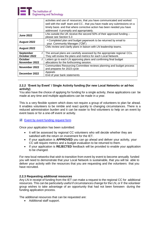

|                                  | activities and use of resources, that you have communicated and worked<br>well with the staff team and CC, that you have made any submissions on a<br>timely basis and that where corrective action has been needed you have<br>addressed it promptly and appropriately. |
|----------------------------------|--------------------------------------------------------------------------------------------------------------------------------------------------------------------------------------------------------------------------------------------------------------------------|
| <b>June 2022</b>                 | LNs outside the UK receive the second 50% of their approved funding $-$<br>please see Section 5.3                                                                                                                                                                        |
| August 2022                      | • Completed plan and budget paperwork to be returned by email to<br>your Community Manager ("CM")                                                                                                                                                                        |
| August 2022                      | CMs review and clarify plans in liaison with LN leadership teams.                                                                                                                                                                                                        |
| <b>September</b><br>October 2022 | The annual plans are carefully assessed by the appropriate regional CCs.<br>They will review the plans and metrics for each Local Network.                                                                                                                               |
| <b>October</b><br>November 2022  | Letters go to each LN approving plans and confirming final budget<br>allocations for the forthcoming session.                                                                                                                                                            |
| November 2022                    | Communities Resourcing Committee reviews planning and budget process<br>and prepares for 2023 cycle                                                                                                                                                                      |
| December 2022                    | Appeals<br>End of year bank statements                                                                                                                                                                                                                                   |

#### **2.2.2 'Event by Event' / Single Activity funding (for new Local Networks or ad-hoc activity)**

You also have the choice of applying for funding for a single activity, these applications can be made at any time and multiple applications can be made in a year.

This is a very flexible system which does not require a group of volunteers to plan far ahead. It enables volunteers to be nimble and react quickly to changing circumstances. There is a reduced administration burden and it can be easier to find volunteers to help on an event by event basis or for a one-off event or activity.

**Event by event funding [request form](http://www.theiet.org/volunteers/active/resources/-documents/event-by-event.cfm?type=docx)** 

Once your application has been submitted:

- It will be assessed by regional CC volunteers who will decide whether they are satisfied with the return on investment for the IET.
- If your application is **APPROVED** you can go ahead and deliver your activity, your CC will require metrics and a budget evaluation to be returned to them.
- If your application is **REJECTED** feedback will be provided to enable your application to be changed.

For new local networks that wish to transition from event by event to become annually funded you will need to demonstrate that your Local Network is sustainable, that you will be able to deliver your activity with the resources that you are requesting and the volunteers that you have recruited.

#### **2.2.3 Requesting additional resources**

Any LN in receipt of funding from the IET can make a request to the regional CC for additional resources. This can be particularly useful if circumstances change for the LN, or if the volunteer group wishes to take advantage of an opportunity that had not been foreseen during the funding application process.

The additional resources that can be requested are:

• Additional staff support.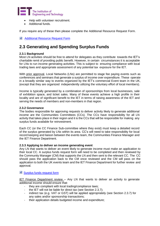

- Help with volunteer recruitment.
- Additional funds.

If you require any of these then please complete the Additional Resource Request Form.

**M** [Additional](http://www.theiet.org/volunteers/active/resources/-documents/additional-resource.cfm?type=docx) Resource Request Form

## **2.3 Generating and Spending Surplus Funds**

#### **2.3.1 Background**

Most LN activities should be free to attend for delegates as they contribute towards the IET's charitable remit of providing public benefit. However, in certain circumstances it is acceptable for LNs to run income generating activities. This is subject to ensuring compliance with local trading laws and appropriate assessment of any potential tax exposure for the IET.

With prior approval, Local Networks (LNs) are permitted to stage fee paying events such as conferences and seminars that generate a surplus of income over expenditure. These operate in a broadly similar way to events organized by the IET's commercial Event team in the UK, (except that they are organized independently utilizing the voluntary effort of local members).

Income is typically generated by a combination of sponsorships from local businesses, sale of exhibition space, and ticket sales. Many of these events achieve a high profile in their locality and are of significant benefit to the IET in terms of raising awareness of the IET and serving the needs of members and non-members in that region.

#### **2.3.2 Governance**

The bodies responsible for approving requests to deliver activity likely to generate additional income are the Communities Committees (CCs). The CCs have responsibility for all LN activity that takes place in their region and it is the CCs that will be responsible for making any surplus funds available for reinvestment.

Each CC (or the CC Finance Sub-committee where they exist) must keep a detailed record of the surplus generated by LNs within its area. CC's will need to take responsibility for local record keeping and liaison between the events team, the Communities Finance Manager and the IET Finance Department.

#### **2.3.3 Applying to deliver an income generating event**

Any LN that wants to deliver an event likely to generate income must make an application to their local CC. A surplus funds request form will need to be completed and then reviewed by the Community Manager (CM) that supports the LN and then sent to the relevant CC. The CC should pass the application back to the CM once reviewed and the CM will pass on the application to both the UK events team and the IET Finance Department for further review and approval.

#### **M** Surplus [funds request](http://www.theiet.org/volunteers/active/resources/-documents/surplus-funds-request.cfm?type=docx) form

IET Finance Department review - Any LN that wants to deliver an activity to generate additional income should ensure that:

- they are compliant with local trading/compliance laws;
- the IET will not be liable for direct tax (see Section 2.3.7);
- indirect tax (e.g. VAT or GST) will be applied appropriately (see Section 2.3.7) for any sales and/or sponsorship transactions;
- their application details budgeted income and expenditure;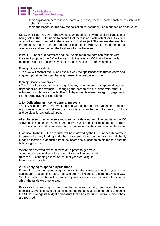## The Institution of **Engineering and Technology**

- their application details in what form (e.g. cash, cheque, bank transfer) they intend to collect income; and
- their application details how the collection of income will be managed and controlled.

UK Events Team review – The Events team need to be aware of significant events being held in the IET's name to ensure that there is no clash with other IET events or activities being planned in that area or on that subject. The review also enables the team, who have a huge amount of experience with events management, to offer advice and support on the best way to run the event.

If the IET Finance Department and the Events team are both comfortable with the event proposal, the CM will forward it to the relevant CC that will eventually be responsible for making any surplus funds available for reinvestment.

If an application is denied:

• The CC will contact the LN and explain why the application was turned down and suggest possible changes that might result in a positive outcome.

If an application is approved:

• The CC will contact the LN and highlight any requirements that approval may be dependent on, for example – changing the date to avoid a clash with other IET activities, or collaboration with other IET departments – like Strategic Engagement Partnerships (SEP) or Publishing.

#### **2.3.4 Delivering an income generating event**

The LN should deliver the event, liaising with staff and other volunteer groups as appropriate to ensure that every opportunity to promote the IET's brand, products and services is capitalized upon.

After the event, the volunteers must submit a detailed set of accounts to the CC showing all income and expenditure on that event and highlighting the net surplus. These accounts must be received within one month of the completion of the event.

In addition to the CC, the accounts will be reviewed by the IET Finance Department to ensure that any funding and other costs subsidized by the LN's normal charity funded allocation is deducted from the income calculation to obtain the true surplus balance generated.

Where an approved event that was anticipated to generate a surplus instead makes a loss; the net loss will be deducted from the LN's funding allocation for that year reducing its balance accordingly.

#### **2.3.5 Applying to spend surplus funds**

If an LN wants to spend surplus funds in the same accounting year or in subsequent accounting years, it should submit a request to both its CM and CC. Surplus funds must be utilized within 2 years of generation, excluding the year in which the funds were generated.

Proposals to spend surplus funds can be put forward at any time during the year. If possible, events should be identified during the annual planning round to enable the CC to manage its budget and ensure that it has the funds available when they are required.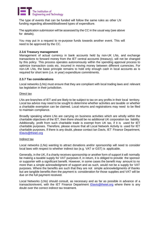

The type of events that can be funded will follow the same rules as other LN funding regarding allowed/disallowed types of expenditure.

The application submission will be assessed by the CC in the usual way (see above for details).

You may put in a request to re-purpose funds towards another event. This will need to be approved by the CC.

#### **2.3.6 Treasury management**

Management of actual currency in bank accounts held by non-UK LNs, and exchange transactions to forward money from the IET central accounts (treasury), will not be changed by this policy. This process operates autonomously within the spending approval process to optimize transaction costs etc. incurred in moving money between different currencies. For non-UK LNs, the basic principle remains to hold only enough cash in local accounts as is required for short term (i.e. in year) expenditure commitments.

#### **2.3.7 Tax considerations**

Local networks (LNs) must ensure that they are compliant with local trading laws and relevant tax legislation in their jurisdiction.

#### Direct tax

LNs are branches of IET and are likely to be subject to tax on any profits in their local territory. Local tax advice may need to be sought to determine whether activities are taxable or whether a charitable exemption can be claimed. Local returns and registrations may need to be filed to maintain compliance.

Broadly speaking where LNs are carrying on business activities which are wholly within the charitable objectives of the IET, then there should be no additional UK corporation tax liability. Additionally, profit from such charitable trade is exempt from UK tax, if it is used for IET charitable purposes. Therefore, please ensure that all Local Network Activity is used for IET charitable purposes. If there is any doubt, please contact Ian Davis, IET Finance Department, [IDavis@theiet.org](mailto:IDavis@theiet.org)

#### Indirect tax

Local networks (LNs) wanting to attract donations and/or sponsorship will need to consider local laws with respect to whether indirect tax (e.g. VAT or GST) is applicable.

Generally, in the UK, if a charity receives sponsorship or another form of support it will normally be making a taxable supply for VAT purposes if, in return, it is obliged to provide the sponsor or supporter with a significant benefit. However, in some cases the benefit may amount to no more than a simple acknowledgment of support and as such, would not be a supply for VAT purposes. Where the benefits are such that they are not simple acknowledgments of thanks but are tangible benefits then the payment is consideration for those supplies and VAT will be due on the full payment received.

Local Networks (LNs) should consult, as necessary and as far as possible in advance of a transaction/event, with the IET Finance Department [IDavis@theiet.org](mailto:IDavis@theiet.org) where there is any doubt over the correct indirect tax treatment.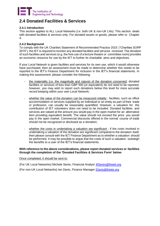

## **2.4 Donated Facilities & Services**

#### **2.4.1 Introduction**

This section applies to ALL Local Networks (i.e. both UK & non-UK LNs). This section deals with donated facilities & services only. For donated assets or goods, please refer to Chapter 4.

#### **2.4.2 Background**

To comply with the UK Charities Statement of Recommended Practice 2015 ("Charities SORP 2015"), the IET is required to monitor any donated facilities and services received. The donation of such facilities and services (e.g. the free use of a lecture theatre or committee room) provides an economic resource for use by the IET to further its charitable aims and objectives.

If your Local Network is given facilities and services for its own use, which it would otherwise have purchased, then an assessment must be made to determine whether this needs to be reported to the IET's Finance Department for inclusion in the IET's financial statements. In making this assessment, please consider the following:

- the materiality (i.e. the magnitude and nature) of the donation concerned; donated facilities or services of less than GBP 500 (or equivalent) do not need to be reported, however, you may wish to report such donations below this level for more accurate record keeping within your own Local Network;
- whether the value of the donation can be measured reliably facilities, such as office accommodation or services supplied by an individual or an entity as part of their trade or profession, can usually be reasonably quantified. However, a valuation for the contribution of IET volunteers does not need to be included. Donated facilities and services are valued at the amount you would pay in the open market for an alternative item providing equivalent benefit. The value should not exceed the price you would pay in the open market. Commercial discounts offered in the normal course of trade should not be recognized or disclosed as a donation;
- whether the costs in undertaking a valuation are significant if the costs involved in undertaking a valuation of the donation are significant compared to the donation itself, then please consult with the IET Finance Department as to whether a valuation should be performed. It may be possible to argue that the costs of such a valuation outweigh the benefits to a user of the IET's financial statements.

#### **With reference to the above considerations, please report donated services or facilities through the completion of the 'Donated Facilities & Services Form' below**.

#### Once completed, it should be sent to:

(For UK Local Networks) Michele Seres, Financial Analyst [MSeres@theiet.org](mailto:MSeres@theiet.org) (For non-UK Local Networks) Ian Davis, Finance Manager [IDavis@theiet.org](mailto:IDavis@theiet.org)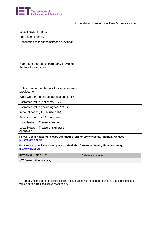

## Appendix A: Donated Facilities & Services Form

| Local Network name:                                                   |  |
|-----------------------------------------------------------------------|--|
| Form completed by:                                                    |  |
| Description of facilities/services provided:                          |  |
|                                                                       |  |
|                                                                       |  |
|                                                                       |  |
| Name and address of third party providing<br>the facilities/services: |  |
|                                                                       |  |
|                                                                       |  |
|                                                                       |  |
|                                                                       |  |
| Dates from/to that the facilities/services were<br>provided for:      |  |
| What were the donated facilities used for?                            |  |
| Estimated value (net of VAT/GST):                                     |  |
| Estimated value (including VAT/GST):                                  |  |
| Account code: (UK LN use only)                                        |  |
| Activity code: (UK LN use only)                                       |  |
| Local Network Treasurer name:                                         |  |
| Local Network Treasurer signature<br>approval <sup>1</sup> :          |  |

**For UK Local Networks, please submit this form to Michele Seres, Financial Analyst** [MSeres@theiet.org](mailto:MSeres@theiet.org)

**For Non-UK Local Networks, please submit this form to Ian Davis, Finance Manager** [IDavis@theiet.org](mailto:IDavis@theiet.org)

| <b>INTERNAL USE ONLY</b>  | Reference number |
|---------------------------|------------------|
| IET Head office use only: |                  |

<span id="page-10-0"></span> $1$  In approving the donated facilities form, the Local Network Treasurer confirms that the estimated values herein are considered reasonable.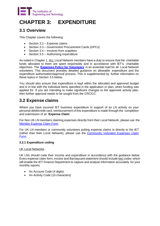# The Institution of<br>Engineering and Technology

## <span id="page-11-0"></span>**CHAPTER 3: EXPENDITURE**

## **3.1 Overview**

This Chapter covers the following:

- Section 3.2 Expense claims
- Section 3.3 Government Procurement Cards (GPCs)
- Section 3.4 Invoices from suppliers
- Section 3.5 Authorising expenditure

As noted in Chapter 1, ALL Local Network members have a duty to ensure that the charitable funds allocated to them are spent responsibly and in accordance with IET's charitable objectives. The '**Expenses Policy for [Volunteers](http://www.theiet.org/volunteers/active/how-iet-works/-documents/expense-policy.cfm?type=pdf)**' is an essential read for all Local Network volunteers. This document provides detailed guidance on allowable expenditure and the expenditure authorisation/approval process. This is supplemented by further information on these topics in Section 3.5 below**.**

You should also ensure that expenditure is kept within the allocated and approved budget and is in line with the individual items specified in the application or plan, when funding was applied for. If you are intending to make significant changes to the approved activity plan, then further approval needs to be sought from the CRC/CC.

## **3.2 Expense claims**

Where you have incurred IET business expenditure in support of an LN activity on your personal debit/credit card, reimbursement of this expenditure is made through the completion and submission of an '**Expense Claim**'.

For Non UK LN members claiming expenses directly from their Local Network, please use the Member [Expense](http://www.theiet.org/volunteers/active/how-iet-works/-documents/expense-form.cfm?type=xlsx) Claim Form.

For UK LN members or community volunteers putting expense claims in directly to the IET (rather than their Local Network), please use the [Community](http://www.theiet.org/volunteers/active/how-iet-works/-documents/volunteer-expenses.cfm?type=xlsx) Volunteer Expenses Claim [Form.](http://www.theiet.org/volunteers/active/how-iet-works/-documents/volunteer-expenses.cfm?type=xlsx)

#### **3.2.1 Expenditure coding**

#### UK Local Networks

UK LNs should code their income and expenditure in accordance with the guidance below. Every expense claim form, invoice and Barclaycard statement should include two codes which will enable the IET Finance Department to capture and analyse information accurately for your monthly reports:

- An Account Code (4 digits)
- An Activity Code (10 characters)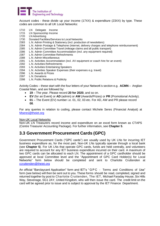

Account codes - these divide up your income (17XX) & expenditure (23XX) by type. These codes are common to all UK Local Networks:

- 1710 LN Delegate Income
- 1715 LN Sponsorship Income
- 1720 LN Advertising<br>1730 Donated Facilit
- 1730 Donated Facilities/Services to Local Networks<br>2383 L.N. Admin Printing & Stationery (incl. product
- 2383 L.N. Admin Printing & Stationery (incl. production of newsletters)<br>2384 L.N. Admin Postage & Telephone (internet, delivery charges and
- 2384 L.N. Admin Postage & Telephone (internet, delivery charges and telephone reimbursement)<br>2385 L.N. Admin Committee Travel (mileage claims and all public transport)
- 2385 L.N. Admin Committee Travel (mileage claims and all public transport)<br>2386 L.N. Admin Committee Accommodation (incl. any equipment required)
- L.N. Admin Committee Accommodation (incl. any equipment required)
- 2387 L.N. Admin Committee Refreshments<br>2388 L.N. Admin Miscellaneous
- 2388 L.N. Admin Miscellaneous<br>2391 L.N. Activities Accommoda
- L.N. Activities Accommodation (incl. AV equipment or coach hire for an event)
- 2392 L.N. Activities Refreshments<br>2393 L.N. Activities Entertaining S
- 2393 L.N. Activities Entertaining Speakers<br>2394 L.N. Activities Speaker Expenses (the
- L.N. Activities Speaker Expenses (their expenses e.g. travel)
- 2396 L.N. Awards & Prizes<br>2397 L.N. Donations
- 2397 L.N. Donations<br>2398 L.N. Public Rela
- L.N. Public Relations & Publicity

Activity Codes – these start with the four letters of your Network's section e.g. **ACMN** – Anglian Coastal Main, and are followed by:

- **19** The year. Please record **20 for 2020**, and so on.
- **EV** (for an Event) or **AD** (admin) or **AW** (Awards/Prizes) or **PR** (Promotional Activity).
- **01** The Event (EV) number i.e. 01, 02, 03 etc. For AD, AW and PR please record **00**.

For any queries in relation to coding, please contact Michele Seres (Financial Analyst) at [Mseres@theiet.org](mailto:Mseres@theiet.org)

#### Non-UK Local Networks

Non-UK LN Treasurers record income and expenditure on an excel form known as CTAPS (Centre Treasurer Accounting Package). For further information, see **Chapter 5**.

## **3.3 Government Procurement Cards (GPC)**

Government Procurement Cards ("GPC cards") are usually used by UK LNs for incurring IET business expenditure as, for the most part, Non-UK LNs typically operate through a local bank (see **Chapter 5**). For UK LNs that operate GPC cards, funds are held centrally, and volunteers are required to account for any IET business expenditure incurred on their card. A maximum of two GPC cards can be allocated to each LN. The appointment of a GPC cardholder should be approved at local Committee level and the "Appointment of GPC Card Holder(s) for Local Networks" form below should be completed and sent to Charlotte Cruttenden at ccruttenden@theiet.org

An official "Barclaycard Application" form and IET's "GPC - Terms and Conditions of Use" form (see below) will then be sent out to you. These forms should be read, completed, signed and returned together by post to Charlotte Cruttenden, The IET, Michael Faraday House, Six Hills Way, Stevenage, SG1 2AY, United Kingdom, who will then issue the card. The credit limit on the card will be agreed prior to issue and is subject to approval by the IET Finance Department.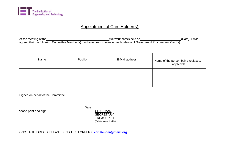

## Appointment of Card Holder(s)

At the meeting of the <u>same and the contract of the (Network name</u>) held on **All the meeting of the same** (Date), it was agreed that the following Committee Member(s) has/have been nominated as holder(s) of Government Procurement Card(s):

| Name | Position | E-Mail address | Name of the person being replaced, if<br>applicable. |
|------|----------|----------------|------------------------------------------------------|
|      |          |                |                                                      |
|      |          |                |                                                      |
|      |          |                |                                                      |

Signed on behalf of the Committee

Please print and sign. The contract of the CHAIRMAN

\_\_\_\_\_\_\_\_\_\_\_\_\_\_\_\_\_\_\_\_\_\_\_\_\_\_\_\_\_\_\_\_\_\_\_\_\_\_ Date\_\_\_\_\_\_\_\_\_\_\_\_\_\_\_\_\_\_\_\_\_\_\_\_\_\_\_ **SECRETARY** TREASURER (Delete as applicable)

ONCE AUTHORISED, PLEASE SEND THIS FORM TO: **ccruttenden@theiet.org**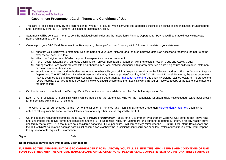

#### **Government Procurement Card – Terms and Conditions of Use**

- 1. The card is to be used only by the cardholder to whom it is issued when carrying out authorised business on behalf of The Institution of Engineering and Technology ("the IET"). Personal use is not permitted at any time.
- 2. Statements will be sent each month to both the individual cardholder and the Institution's Finance Department. Payment will be made directly to Barclays Bank each month by the IET.
- 3. On receipt of your GPC Card Statement from Barclaycard, please perform the following within 28 days of the date of your statement:
	- a) annotate your Barclaycard statement with the name of your Local Network and enough narrative detail (as necessary) regarding the nature of the expense for each line item;
	- b) attach the 'original receipts' which support the expenditure on your statement;
	- c) (for UK Local Networks only) annotate each line item on your Barclaycard statement with the relevant Account Code and Activity Code;
	- d) arrange for the Barclaycard statement to be authorised by a Local Network Authorised Signatory either via a date & signature on the manual statement or via an e-mail authorisation;
	- e) submit your annotated and authorised statement together with your original expense receipts to the following address: Finance Accounts Payable Department, The IET, Michael Faraday House, Six Hills Way, Stevenage, Hertfordshire, SG1 2AY. For non-UK Local Networks, the same documents may be scanned and submitted to IET Accounts Payable Department at [financeap@theiet.org](mailto:financeap@theiet.org) and original versions retained locally for reference and record keeping. Both UK and non-UK Local Networks should ensure that their Local Network Treasurer receives a copy of the authorised [statement](mailto:financeap@theiet.org) for [their](mailto:financeap@theiet.org) record.
- 4. Cardholders are to comply with the Barclays Bank Plc conditions of use as detailed on the Cardholder Application Form.
- 5. Each GPC is allocated a credit limit which will be notified to the cardholder, who will be responsible for ensuring it is not exceeded. Withdrawal of cash is not permitted within the GPC scheme.
- 6. The GPC is to be surrendered to the PA to the Director of Finance and Planning (Charlotte Cruttenden) ccruttenden@theiet.org upon giving notice of retiring from the Local Network Officer's post or at any [other](mailto:bsmart@theiet.org) time as required by the IET.
- 7. Cardholders are required to complete the following: I, [*Name of cardholder*], apply for a Government Procurement Card (GPC). I confirm that I have read and understood the above terms and conditions and the IET's 'Expenses Policy for Volunteers' and agree to be bound by them. If for any reason sums debited by me to my GPC account are not considered bona fide IET expenditure, I will immediately reimburse the IET in full. I will inform Barclaycard and the IET within 24 hours or as soon as possible if I become aware or have the suspicion that my card has been lost, stolen or used fraudulently. I will respond to any reasonable request for information.

Signed………………………………………… Date………………………………….

**Note: Please sign your card immediately upon receipt.**

#### **FURTHER TO THE 'APPOINTMENT OF GPC CARDHOLDERS' FORM (ABOVE), YOU WILL BE SENT THIS 'GPC - TERMS AND CONDITIONS OF USE' FORM TOGETHER WITH THE OFFICIAL 'BARCLAYCARD APPLICATION' FORM. PLEASE READ, COMPLETE, SIGN AND RETURN THESE FORMS BY**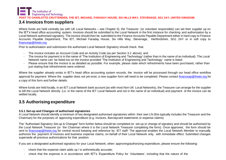

#### **POST TO CHARLOTTE CRUTTENDEN, THE IET, MICHAEL FARADAY HOUSE, SIX HILLS WAY, STEVENAGE, SG1 2AY, UNITED KINGDOM.**

## **3.4 Invoices from suppliers**

Where funds are held centrally (as with UK Local Networks – see Chapter 5), the Treasurer (or volunteer responsible) can set their supplier up on the IET's head office accounting system. Invoices should be submitted to the Local Network in the first instance for checking and authorisation by a Local Network authorised signatory. The invoice should then be submitted to the Finance Accounts Payable Department either in hard copy to Finance Accounts Payable Department, The IET, Michael Faraday House, Six Hills Way, Stevenage, Hertfordshire, SG1 2AY or in soft copy to [financeap@theiet.org](mailto:financeap@theiet.org)

Prior to authorisation and submission the authorised Local Network Signatory should check that:

- The invoice includes an Account Code and an Activity Code (as per Section 3.2 above); and
- The invoice for payment is in the name of 'The Institution of Engineering and Technology' (rather than in the name of an individual). The Local Network name can be listed too on the invoice provided 'The Institution of Engineering and Technology' name is listed.
- Please ensure that the invoice is as detailed as possible. For example, please state which refreshments have been purchased, rather than just stating that refreshments were ordered.

Where the supplier already exists in IET's head office accounting system records, the invoice will be processed through our head office workflow approval for payment. Where the supplier does not yet exist, a new supplier form will need to be completed. Please contact [financeap@theiet.org](mailto:financeap@theiet.org) for a copy of this form and further details.

Where funds are held locally, in an IET Local Network bank account (as with most Non-UK Local Networks), the Treasurer can arrange for the supplier to bill the Local Network directly (i.e. in the name of the IET Local Network and not in the name of an individual) and payment of the invoice can be settled locally.

## **3.5 Authorising expenditure**

#### **3.5.1 Set-up and Changes of authorised signatories**

A Local Network should identify a minimum of two designated authorised signatories within their own LN (this typically includes the Treasurer and the Chairman) for the purposes of approving expenditure (e.g. invoices, Barclaycard statements or expense claims).

The "Authorised Signatory Set-up & Changes" form further below should be completed on set-up or change of signatory and should be authorised by the Local Network Treasurer (or the Chairman where it is the Local Network Treasurer completing the form). Once approved, the form should be sent to [financeap@theiet.org](mailto:financeap@theiet.org) for central record keeping and reference by IET staff. The approval enables the Local Network Member to manually authorize the payment of invoices and business expense claims, on behalf of their Local Network only, with immediate effect. Submitted changes supersede all previous authorizations for that position.

If you are a designated authorised signatory for your Local Network, when approving/authorizing expenditure, please ensure the following:

- check that the expense claim adds up / is arithmetically accurate;
- check that the expense is in accordance with IET's 'Expenditure Policy for Volunteers', including that the nature of the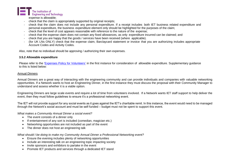

- check that the claim is appropriately supported by original receipts;
- check that the claim does not include any personal expenditure. If a receipt includes both IET business related expenditure and personal expenditure, the business expenditure element only should be highlighted for the purposes of the claim;
- check that the level of cost appears reasonable with reference to the nature of the expense;
- check that the expense claim does not contain any fixed allowances, as only expenditure incurred can be claimed; and
- check that you are happy that the goods / services have been received (where applicable).
- (for UK LNs ONLY) check that the expense claim, Barclaycard statement or invoice that you are authorizing includes appropriate Account Codes and Activity Codes.

Also, note that no individual should be approving / authorizing their own expenses.

#### **3.5.2 Allowable expenditure**

Please refer to the 'Expenses Policy for [Volunteers'](https://www.theiet.org/volunteers/active/how-iet-works/expenses.cfm) in the first instance for consideration of allowable expenditure. Supplementary guidance to this is listed below:

#### Annual Dinners

Annual Dinners are a great way of interacting with the engineering community and can provide individuals and companies with valuable networking opportunities. If a Network wants to host an Engineering Dinner, in the first instance they must discuss the proposal with their Community Manager to understand and assess whether it is a viable option.

Engineering Dinners are large scale events and require a lot of time from volunteers involved. If a Network wants IET staff support to help deliver the event, then they must follow guidelines to ensure it's a professional networking event.

The IET will not provide support for any social events as it goes against the IET's charitable remit. In this instance, the event would need to be managed through the Network's social account and must be self-funded – budget must not be spent to support this event.

#### *What makes a Community Annual Dinner a social event?*

- The event consists of a dinner only
- If entertainment of any sort is included (comedian, magician etc.)
- Networking opportunities are not included as part of the event
- The dinner does not host an engineering talk

*What should I be doing to make my Community Annual Dinner a Professional Networking event?*

- Ensure the evening includes plenty of networking opportunities
- Include an interesting talk on an engineering topic impacting society
- Invite sponsors and exhibitors to partake in the event
- Promote IET products and services through a dedicated IET stand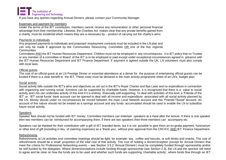

If you have any queries regarding Annual Dinners, please contact your Community Manager.

#### Expenses and payment for members

Under the terms of the IET constitution, members cannot receive any remuneration or other personal financial advantage from their membership. Likewise, the Charities Act makes clear that any private benefits gained from a charity must be incidental which means they are a necessary by - product of carrying out the charity's aims.

#### Payments to individuals

Any proposed payments to individuals and proposed employment contracts must be included in the LN plan and can only be made if approved by t[he Communities](http://mycommunity.theiet.org/blogs/751/1807) Resourcing [Committee](http://mycommunity.theiet.org/blogs/751/1807) OR one of the five regional **Communities** 

Committees AND the IET Human Resources Department. Children must not be employed in any circumstances. It is IET policy that no Trustee or any member of a committee or Board of the IET is to be employed or paid except under exceptional circumstances agreed in advance with the IET Human Resources Department and IET Finance Department. If payment is agreed outside the UK, LN volunteers must also comply with local laws.

#### Official quests

The cost of an official guest at an LN Prestige Dinner or essential attendance at a dinner for the purpose of entertaining official guests can be funded if there is a clear benefit to the IET. These costs must be declared in the main activity programme sheet of an LN's budget plan.

#### Social activity

Social activity falls outside the IET's aims and objectives as set out in the IET's Royal Charter and Bye Laws and no expenditure in connection with organizing and running social functions can be supported by charitable funds. However, it is recognized that there is a value to social activity and LNs can undertake activity of this kind if it is entirely financially self-supporting. To deal with activities of this kind, a 'Friends of the IET' or 'IET social funds' bank account can be opened to deal with all income and expenditure associated with all social activity planned by the LN. Money should under no circumstances be moved between the main Local Network account and this 'Friends'/'Social' account. An account of this nature should not be treated as a savings account and any funds accumulated should be used to enable the LN to subsidize future social activity.

#### Speakers

Speaker fees should not be funded with IET money. Committee members can entertain speakers at a meal after the lecture. If there is one speaker then two members can be reimbursed for accompanying them, if there are two speakers then three members can accompany etc.

Speakers can be thanked for their contribution with a gift of IET branded items, but it is not possible to give them an ex-gratia payment, honorarium or other kind of gift (including in lieu of claiming expenses) as a 'thank-you', without prior approval from the CRC/CC AND IET Finance Department.

#### Refreshments

Refreshments at LN activities and committee meetings should be light, for example: tea, coffee and biscuits, or soft drinks and snacks. The cost of refreshments should be a small proportion of the total cost of that activity. The cost of holding a dinner/reception (except for Annual Dinners that meet the criteria for Professional Networking events – see Section 3.5.2 'Annual Dinners') must be completely funded through sponsorship and/or be self-funded by the delegates. Where dinners/receptions include funding through sponsorship (see Section 2.3), the LN and the sponsor will need to agree and be clear on how the funds are to be used and whether such funds are supporting 'charitable activity', where funds flow through an IET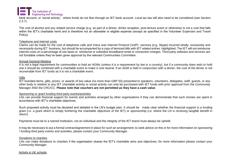

bank account, or 'social activity', where funds do not flow through an IET bank account. Local tax law will also need to be considered (see Section 2.3.7).

The cost of alcohol and any related service charge (e.g. as part of a dinner, drinks reception, post-lecture event or otherwise) is not a cost that falls within the IET's charitable remit and is therefore not an allowable or eligible expense (except as specified in the Volunteer Expenses and Travel Policy).

#### Telephone and internet costs

Claims can be made for the cost of telephone calls and Voice over Internet Protocol (VoIP) services (e.g. Skype) incurred wholly, exclusively and necessarily during IET business, but should be accompanied by a copy of itemized bills with IET related entries highlighted. The IET will not reimburse internet costs on a percentage of use basis or reimburse or subsidize broadband rental or connection charges. Third party software and services are not fundable unless they've been given approval by the relevant Communities Committee.

#### Annual General Meeting

It is not a legal requirement for communities to hold an AGMs (unless it is a requirement by law in a country), but if a community does wish to hold one it should be combined with a charitable event to make it cost neutral. If an AGM is held in conjunction with a dinner, the cost of the dinner is not recoverable from IET funds as it is not a charitable event.

#### **Gifts**

IET branded items, gifts, prizes, or awards of low value (no more than GBP 50) presented to speakers, volunteers, delegates, staff, guests, or any other body in relation to any IET charitable activity or social activity can only be purchased with IET funds with prior approval from the Community Manager AND the CRC/CC. **Please note that vouchers are not permitted as they have a cash value**.

#### Sponsoring or grant funding third party events/activities

LNs can provide financial support for events and activities arranged by other organisations if they can demonstrate that such monies are spent in accordance with IET's charitable objectives.

Such proposed activity must be declared and detailed in the LN's budget plan. It should be made clear whether the financial support is a funding grant (i.e. a grant which is simply furthering the charitable objectives of the IET) or sponsorship (i.e. where the LN is receiving tangible benefit in return).

Payments must be to a named Institution, not an individual and the integrity of the IET brand must always be upheld.

It may be necessary to put a formal contract/agreement in place for such an arrangement; to seek advice on this or for more information on sponsoring / funding third party events and activities, please contact your Community Manager.

#### Donations to charities

LNs can make donations to charities if the organisation shares the IET's charitable aims and objectives, for more information please contact your Community Manager.

#### Activity in UK schools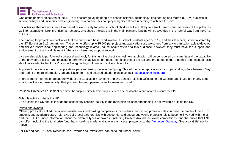

One of the primary objectives of the IET is to encourage young people to choose science, technology, engineering and math's (STEM) subjects at school, college and university and engineering as a career. LNs can play a significant part in helping to achieve this aim.

For activities that are not curriculum based or exclusively targeted at school children but are likely to attract parents and members of the public as well, for example children's Christmas lectures, LNs should include this in the main plan and funding will be awarded in the normal way from the CRC or CCs.

The funding for projects and activities that are curriculum based and involve UK school students aged 5 to 19, and their teachers, is administered by the IET Education 5-19 department. The scheme offers up to £5,000 per project and applications are welcomed from any organisation able to develop and deliver inspirational engineering and technology related educational activities to this audience; however, they must have the support and endorsement of the Local Network in the area where they propose to work.

LNs are also able to put forward a proposal and apply for this funding directly as well. An application will be considered on its merits and the capability of the provider to deliver an impactful programme of activities that meet the objectives of the IET and the needs of the students and teachers. LNs should also refer to the IET's Policy on 'Safeguarding children and vulnerable adults.

At present there is one round of applications per year, taking place in the Spring. This will consider applications for projects taking place between May and April. For more information, an application form and detailed criteria, please contact [ieteducation@theiet.org](mailto:ieteducation@theiet.org)

There is more information about the work of the Education 5-19 team and UK Schools Liaison Officers on the website, and if you are in any doubt about how to categorize activity that you are planning, please contact a member of staff.

Personal Protective Equipment can either be supplied directly from suppliers or can be paid to the venue who will procure the PPE

#### Schools activity outside the UK

LNs outside the UK should include the cost of any schools' activity in the main plan as separate funding is not available outside the UK.

#### Prizes and awards

.

Offering prizes at local educational establishments and holding competitions for students and young professionals can raise the profile of the IET to students and academic staff, help LNs build local partnerships with academia, and encourage young professionals to become involved with the LN and the IET. For more information about the different types of awards (including Present Around the World competitions) and the prizes that LNs can offer, including the total prize fund that should be made available in each case, please go to the [Volunteer Gateway.](http://www.theiet.org/volunteers/resources/awards-prizes/) See also 'Gifts' section above.

For UK and non-UK Local Networks, the 'Awards and Prizes form' can be found further below.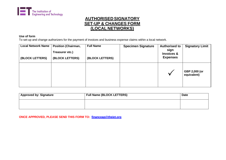

## **AUTHORISED SIGNATORY SET-UP & CHANGES FORM (LOCAL NETWORKS)**

#### **Use of form**

To set-up and change authorizers for the payment of invoices and business expense claims within a local network.

| <b>Local Network Name</b><br>(BLOCK LETTERS) | <b>Position (Chairman,</b><br>Treasurer etc.)<br>(BLOCK LETTERS) | <b>Full Name</b><br>(BLOCK LETTERS) | <b>Specimen Signature</b> | <b>Authorised to</b><br>sign<br><b>Invoices &amp;</b><br><b>Expenses</b> | <b>Signatory Limit</b>       |
|----------------------------------------------|------------------------------------------------------------------|-------------------------------------|---------------------------|--------------------------------------------------------------------------|------------------------------|
|                                              |                                                                  |                                     |                           |                                                                          | GBP 2,000 (or<br>equivalent) |

| Approved by: Signature Approved | <b>Full Name (BLOCK LETTERS)</b> | <b>Date</b> |
|---------------------------------|----------------------------------|-------------|
|                                 |                                  |             |

**ONCE APPROVED, PLEASE SEND THIS FORM TO: [financeap@theiet.org](mailto:financeap@theiet.org)**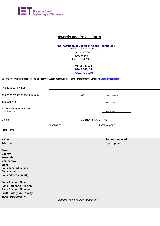

## **Awards and Prizes Form**

**The Institution of Engineering and Technology**

Michael Faraday House Six Hills Way Stevenage Herts. SG1 2AY

> 01438 313311 01438 313311 [www.theiet.org](http://www.theiet.org/)

**Once fully completed, please send this form to Accounts Payable, Finance Department. Email: [financeap@theiet.org](mailto:financeap@theiet.org)**

| This is to certify that                                                                                                                                                  |               |                                     |                                 |  |
|--------------------------------------------------------------------------------------------------------------------------------------------------------------------------|---------------|-------------------------------------|---------------------------------|--|
| has been awarded the sum of £                                                                                                                                            |               | on                                  | (date of ceremony)              |  |
| In relation to:                                                                                                                                                          |               |                                     | (name of award)                 |  |
| At the following educational<br>establishment:                                                                                                                           |               |                                     | (place of study)                |  |
| Signed                                                                                                                                                                   |               | <b>AUTHORISING OFFICER</b>          |                                 |  |
|                                                                                                                                                                          | (On behalf of |                                     | Local Network)                  |  |
| <b>Print Name</b>                                                                                                                                                        |               |                                     |                                 |  |
| Name:<br><b>Address</b>                                                                                                                                                  |               |                                     | To be completed<br>by recipient |  |
| <b>Town</b><br><b>County</b><br><b>Postcode</b><br><b>Member No.</b><br><b>Email</b><br><b>Bank account details</b><br><b>Bank name</b><br><b>Bank address (in full)</b> |               |                                     |                                 |  |
| <b>Bank Account Name</b><br><b>Bank Sort code (UK only)</b><br><b>Bank Account Number</b><br><b>Swift Code (non-UK only)</b><br><b>IBAN (Europe only)</b>                |               | Payment will be notified separately |                                 |  |
|                                                                                                                                                                          |               |                                     |                                 |  |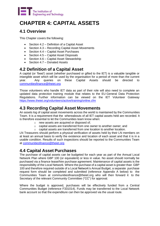

## <span id="page-22-0"></span>**CHAPTER 4: CAPITAL ASSETS**

## **4.1 Overview**

This Chapter covers the following:

- Section 4.2 Definition of a Capital Asset
- Section 4.3 Recording Capital Asset Movements
- Section 4.4 Capital Asset Purchases
- Section 4.5 Capital Asset Disposals<br>• Section 4.6 Capital Asset Stewardsh
- Section 4.6 Capital Asset Stewardship
- Section 4.7 Donated Assets

## **4.2 Definition of a Capital Asset**

A capital (or 'fixed') asset (whether purchased or gifted to the IET) is a valuable tangible or intangible asset which will be used by the organisation for a period of more than the current year. Any queries on these Capital Assets should be directed to [communitiesfinance@theiet.org](mailto:communitiesfinance@theiet.org)

Those volunteers who handle IET data as part of their role will also need to complete an updated data protection training module that relates to the EU [General Data Protection](https://www.theiet.org/volunteers/active/how-iet-works/gdpr-volunteers.cfm)  [Regulations.](https://www.theiet.org/volunteers/active/how-iet-works/gdpr-volunteers.cfm) Further information can be viewed on the IET Volunteer Gateway <https://www.theiet.org/volunteers/active/training/online.cfm>

## **4.3 Recording Capital Asset Movements**

An assets log of capital asset movements across the world is maintained by the Communities Team. It is a requirement that the whereabouts of all IET capital assets held are recorded. It is therefore essential to let the Communities team know when:

- o new assets are acquired or disposed of;
- o capital assets are transferred from one owner to another owner; and
- o capital assets are transferred from one location to another location.

LN Treasurers should perform a physical verification of assets held by their LN members on at least an annual basis to verify the existence and location of each asset and that it is in a usable condition. Results of such inspections should be reported to the Communities Team at [communitiesfinance@theiet.org](mailto:communitiesfinance@theiet.org)

## **4.4 Capital Asset Purchases**

The purchase of capital assets can be budgeted for each year as part of the Annual Local Network Plan where GBP 100 (or equivalent) or less in value. No asset should normally be purchased via a finance lease/hire purchase agreement. Maintenance of capital assets is the responsibility of the Local Network. Where the purchase of a capital asset is greater than GBP 100 and therefore required outside of a Local Network's Annual Budget, a separate purchase request form should be completed and submitted (reference Appendix A below) to the Communities Team at communitiesfinance@theiet.org who will then forward it to the Secretary of the relevant Community Committee ("CC") for approval.

Where the budget is approved, purchases will be effectively funded from a Central Communities Budget (reference F331014). Funds may be transferred to the Local Network bank account so that the expenditure can then be approved via the usual route.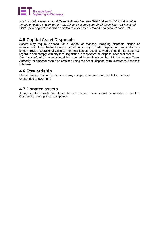

*For IET staff reference: Local Network Assets between GBP 100 and GBP 2,500 in value should be coded to work order F331014 and account code 2482. Local Network Assets of GBP 2,500 or greater should be coded to work order F331014 and account code 5999.*

## **4.5 Capital Asset Disposals**

Assets may require disposal for a variety of reasons, including disrepair, disuse or replacement. Local Networks are expected to actively consider disposal of assets which no longer provide operational value to the organisation. Local Networks should also have due regard to and comply with any local legislation in respect of the disposal of capital assets. Any loss/theft of an asset should be reported immediately to the IET Community Team Authority for disposal should be obtained using the Asset Disposal form (reference Appendix B below).

## **4.6 Stewardship**

Please ensure that all property is always properly secured and not left in vehicles unattended or overnight.

## **4.7 Donated assets**

If any donated assets are offered by third parties, these should be reported to the IET Community team, prior to acceptance.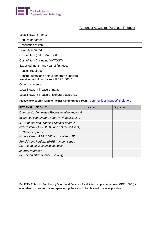

#### Appendix A: Capital Purchase Request

| Local Network name:                                                                     |  |
|-----------------------------------------------------------------------------------------|--|
| Requestor name:                                                                         |  |
| Description of item:                                                                    |  |
| Quantity required:                                                                      |  |
| Cost of item (net of VAT/GST):                                                          |  |
| Cost of item (including VAT/GST):                                                       |  |
| Expected month and year of first use:                                                   |  |
| Reason required:                                                                        |  |
| Confirm quotations from 3 separate suppliers<br>are attached (if purchase > GBP 1,000): |  |
| Other comments:                                                                         |  |
| Local Network Treasurer name:                                                           |  |
| Local Network Treasurer signature approval:                                             |  |

**Please now submit form to the IET Communities Team -** [communitiesfinance@theiet.org](mailto:communitiesfinance@theiet.org)

| <b>INTERNAL USE ONLY</b>                                                                              | Name | Signature |
|-------------------------------------------------------------------------------------------------------|------|-----------|
| Community Committee Representative approval:                                                          |      |           |
| Insurance coordinators approval (if applicable):                                                      |      |           |
| <b>IET Finance and Planning Director approval</b><br>(where item $>$ GBP 2,500 and not related to IT) |      |           |
| <b>IT Director approval</b><br>(where item $>$ GBP 2,500 and related to IT)                           |      |           |
| Fixed Asset Register (FAR) number issued<br>(IET Head office finance use only):                       |      |           |
| Journal reference<br>(IET Head office finance use only):                                              |      |           |

<span id="page-24-0"></span>Per IET's Policy for Purchasing Goods and Services, for all intended purchases over GBP 1,000 (or equivalent) quotes from three separate suppliers should be obtained wherever possible.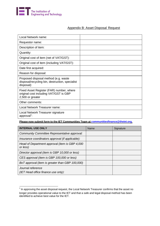

#### Appendix B: Asset Disposal Request

| Local Network name:                                                                                    |  |
|--------------------------------------------------------------------------------------------------------|--|
| Requestor name:                                                                                        |  |
| Description of item:                                                                                   |  |
| Quantity:                                                                                              |  |
| Original cost of item (net of VAT/GST):                                                                |  |
| Original cost of item (including VAT/GST):                                                             |  |
| Date first acquired:                                                                                   |  |
| Reason for disposal:                                                                                   |  |
| Proposed disposal method (e.g. waste<br>disposal/recycling bin, destruction, specialist<br>disposal):  |  |
| Fixed Asset Register (FAR) number, where<br>original cost including VAT/GST is GBP<br>2,500 or greater |  |
| Other comments:                                                                                        |  |
| Local Network Treasurer name:                                                                          |  |
| Local Network Treasurer signature<br>approval <sup>1</sup> :                                           |  |

#### **Please now submit form to the IET Communities Team at [communitiesfinance@theiet.org](mailto:communitiesfinance@theiet.org)**

| <b>INTERNAL USE ONLY</b>                                   | Name | Signature |
|------------------------------------------------------------|------|-----------|
| Community Committee Representative approval:               |      |           |
| Insurance coordinators approval (if applicable):           |      |           |
| Head of Department approval (item is GBP 4,000<br>or less) |      |           |
| Director approval (item is GBP 10,000 or less)             |      |           |
| CES approval (item is GBP 100,000 or less)                 |      |           |
| BoT approval (item is greater than GBP 100,000)            |      |           |
| Journal reference<br>$(IET$ Head office finance use only): |      |           |

<span id="page-25-0"></span> $<sup>1</sup>$  In approving the asset disposal request, the Local Network Treasurer confirms that the asset no</sup> longer provides operational value to the IET and that a safe and legal disposal method has been identified to achieve best value for the IET.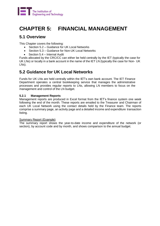

## <span id="page-26-0"></span>**CHAPTER 5: FINANCIAL MANAGEMENT**

## **5.1 Overview**

This Chapter covers the following:<br>• Section 5.2 – Guidance for

- Section 5.2 Guidance for UK Local Networks
- Section 5.3 Guidance for Non-UK Local Networks
- Section 5.4 Internal Audit

Funds allocated by the CRC/CC can either be held centrally by the IET (typically the case for UK LNs) or locally in a bank account in the name of the IET LN (typically the case for Non- UK LNs).

## **5.2 Guidance for UK Local Networks**

Funds for UK LNs are held centrally within the IET's own bank account. The IET Finance Department operates a central bookkeeping service that manages the administrative processes and provides regular reports to LNs, allowing LN members to focus on the management and control of the LN budget.

#### **5.2.1 Management Reports**

Management reports are produced in Excel format from the IET's finance system one week following the end of the month. These reports are emailed to the Treasurer and Chairman of each UK Local Network using the contact details held by the Finance team. The reports comprise a summary page, an activity page and a detailed income and expenditure transaction listing.

#### Summary Report (Example)

The summary report shows the year-to-date income and expenditure of the network (or section), by account code and by month, and shows comparison to the annual budget.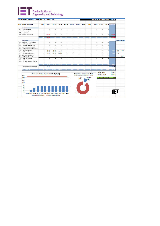| The Institution of<br><b>Engineering and Technology</b> |
|---------------------------------------------------------|
|                                                         |

|      | Management Report - October 2014 to January 2015                                                        |        |               |               |          |               |               |                                                                             |               |                    |          |                         |          | G503021 Scotland North Tayside |      |             |
|------|---------------------------------------------------------------------------------------------------------|--------|---------------|---------------|----------|---------------|---------------|-----------------------------------------------------------------------------|---------------|--------------------|----------|-------------------------|----------|--------------------------------|------|-------------|
|      |                                                                                                         |        |               |               |          |               |               |                                                                             |               |                    |          |                         |          |                                |      |             |
|      | <b>Code</b> Account Description                                                                         | Oct-14 | <b>Nov-14</b> | <b>Dec-14</b> | $Jan-15$ | <b>Feb-15</b> | <b>Mar-15</b> | <b>Apr-15</b>                                                               | <b>May-15</b> | <b>Jun-15</b>      | $Jul-15$ | <b>Aug-15</b>           | $Sep-15$ | Cumulative                     |      |             |
|      | Income                                                                                                  |        |               |               |          |               |               |                                                                             |               |                    |          |                         |          |                                |      |             |
| 1710 | LN Delegate Income                                                                                      | $\sim$ | ٠             | ÷             | ÷.       | ż.            |               | ٠                                                                           |               |                    |          |                         |          |                                |      |             |
| 1715 | LN Sponsorship income                                                                                   | ÷.     | ÷.            | ÷.            | ÷.       | ÷.            | $\sim$        | ÷                                                                           | ÷             | ÷                  | ٠        | ÷                       | ×,       |                                |      |             |
| 1720 | <b>LN Advertising</b>                                                                                   | ÷.     | ä,            | ÷             | ÷.       | ÷.            | <b>A</b>      | ÷                                                                           | ÷             | ÷                  | ٠        | ÷.                      |          |                                |      |             |
| 1730 | Donated Facilities (value)                                                                              | $\sim$ | (100.00)      | ÷             | ÷.       | ä,            | $\sim$        | ÷.                                                                          | ÷.            | ÷                  | ÷        | ÷.                      |          | (100.00)                       |      |             |
|      |                                                                                                         | 0.00   | (100.00)      | 0.00          | 0.00     | 0.00          | 0.00          | 0.00                                                                        | 0.00          | 0.00               | 0.00     | 0.00                    | 0.00     | (100.00)                       |      |             |
|      | <b>Expenditure</b>                                                                                      |        |               |               |          |               |               |                                                                             |               |                    |          |                         |          |                                | Mis% | <b>MisZ</b> |
| 2383 | L.N. Admin Printing & Stationery                                                                        | $\sim$ | ÷.            | ×,            | ÷.       | ä,            | ÷.            | ä,                                                                          | ×.            | ä,                 | ä,       | ٠                       |          |                                |      |             |
| 2384 | L.N. Admin Post & Tel                                                                                   | $\sim$ | ÷.            | ×,            | ÷.       | ÷,            | ä,            | ÷.                                                                          | ä,            | ÷,                 | ä,       | ٠                       |          |                                |      |             |
| 2385 | L.N. Admin Committee Travel                                                                             | $\sim$ | ÷.            | ÷.            | ×.       | ÷.            | ÷.            | ÷                                                                           |               | ä,                 | ä,       | ×.                      |          |                                |      |             |
| 2386 | L.N. Admin Committee Accom                                                                              | ÷.     | ä,            | ä,            | ÷,       | ä,            | $\Delta$      | ÷.                                                                          | ä,            | ÷                  | ä,       | ä,                      |          |                                |      |             |
| 2387 | L.N. Admin Committee Refreshments                                                                       | ÷.     | ä,            | ÷             | ÷.       | ÷.            | $\sim$        | ÷.                                                                          | à.            | ÷                  | х.       | ä,                      | ٠        |                                |      |             |
| 2388 | L.N. Admin Miscellaneous                                                                                | $\sim$ | 40.00         | 40.00         | ÷.       | ä,            | <b>A</b>      | х.                                                                          | ÷             | ÷.                 | ٠        | ÷                       |          | 80.00                          | 10%  | 10%         |
| 2391 | L.N. Activities Accommodation                                                                           | ÷.     | 100.00        | 100.00        | 140.00   | ä,            | ÷             | ÷.                                                                          | ÷             | ÷                  | ÷        | ÷                       |          | 340.00                         | 43%  |             |
| 2392 | L.N. Activities Refreshments                                                                            | $\sim$ | 124.50        | 124.50        | 124.50   | ä,            | ÷             | х.                                                                          | з.            |                    |          | ÷                       |          | 373.50                         | 47%  |             |
| 2393 | L.N. Activities Ent. Speakers                                                                           | ×.     |               |               |          |               | ÷,            | ä,                                                                          |               |                    |          |                         |          |                                |      |             |
| 2394 | L.N. Activities Speaker Expenses                                                                        | ÷.     | ä,            | ÷,            | ÷.       | J.            | ä,            | ÷.                                                                          | ÷             | ÷.                 |          | ÷                       |          |                                |      | 90%         |
| 2396 | L.N. Awards and Prizes                                                                                  | $\sim$ | ÷             | ÷             | ż.       | ٠             | ÷             | ä,                                                                          |               |                    | ٠        | ÷                       |          |                                |      |             |
| 2397 | L.N. Donations                                                                                          | ÷.     | ÷.            | ×,            | ż.       | ä,            | ä,            | ÷                                                                           | ÷             | ÷                  | ٠        | ÷                       |          |                                |      |             |
| 2398 | L.N. Public Relations and Publicity                                                                     | ÷.     | ÷.            | ×,            | ÷.       | ä,            | ÷.            | ÷.                                                                          | ÷             |                    | ٠        | ÷                       |          |                                |      |             |
|      |                                                                                                         |        |               |               |          |               |               |                                                                             |               |                    |          |                         |          |                                |      |             |
|      |                                                                                                         | 0.00   | 264.50        | 264.50        | 264.50   | 0.00          | 0.00          | 0.00                                                                        | 0.00          | 0.00               | 0.00     | 0.00                    | 0.00     | 793.50                         |      |             |
|      | Donated Facilities (value reversal)                                                                     | ÷      | 100.00        | ÷             | ä,       | ÷             | $\sim$        | х.                                                                          | ÷             | ٠                  | ÷        | ÷                       |          | 100.00                         |      |             |
|      | <b>NET POSITION</b>                                                                                     | 0.00   | 264.50        | 264.50        | 264.50   | 0.00          | 0.00          | 0.00                                                                        | 0.00          | 0.00               | 0.00     | 0.00                    | 0.00     | 793.50                         |      |             |
|      |                                                                                                         |        |               |               |          |               |               |                                                                             |               |                    |          | <b>Session Budget</b>   |          | 1,900.00                       |      |             |
|      | Cumulative Expenditure versus Budget (£'s)                                                              |        |               |               |          |               |               | <b>Cumulative Expenditure Mix%</b><br>(grouped by Admin, Activities, Other) |               |                    |          | <b>Balance to Spend</b> |          | 1.106.50                       |      |             |
|      | 2,000<br>1.800                                                                                          |        |               |               |          |               |               |                                                                             |               |                    |          |                         |          |                                |      |             |
|      |                                                                                                         |        |               |               |          |               |               | Other<br>0%                                                                 |               | Administra<br>tion |          | % of Budget to Spend    |          | 58%                            |      |             |
|      | 1,600                                                                                                   |        |               |               |          |               |               |                                                                             |               | 10%                |          |                         |          |                                |      |             |
|      | 1,400                                                                                                   |        |               |               |          |               |               |                                                                             |               |                    |          |                         |          |                                |      |             |
|      | 1,200                                                                                                   |        |               |               |          |               |               |                                                                             |               |                    |          |                         |          |                                |      |             |
|      | 1,000                                                                                                   |        |               |               |          |               |               |                                                                             |               |                    |          |                         |          |                                |      |             |
|      | 800                                                                                                     |        |               |               |          |               |               |                                                                             |               |                    |          |                         |          |                                |      |             |
|      | 600                                                                                                     |        |               |               |          |               |               |                                                                             |               |                    |          |                         |          |                                |      |             |
|      | 400                                                                                                     |        |               |               |          |               |               |                                                                             |               |                    |          |                         |          |                                |      |             |
|      | 200<br>$\bullet$<br>Oct-14 Nov-14 Dec-14 Jan-15 Feb-15 Mar-15 Apr-15 May-15 Jun-15 Jul-15 Aug-15 Sep-15 |        |               |               |          |               |               | Activities                                                                  |               |                    |          |                         |          |                                |      |             |
|      |                                                                                                         |        |               |               |          |               |               | 90%                                                                         |               |                    |          |                         |          |                                |      |             |
|      |                                                                                                         |        |               |               |          |               |               |                                                                             |               |                    |          |                         |          |                                |      |             |
|      | Cumulative Expenditure - - Session Expenditure Budget                                                   |        |               |               |          |               |               |                                                                             |               |                    |          |                         |          |                                |      |             |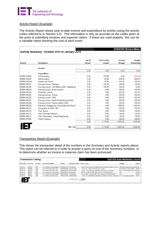

#### Activity Report (Example)

The Activity Report shows year-to-date income and expenditure by activity (using the activity codes referred to in Section 3.2). This information is only as accurate as the codes given at the point of submitting invoices and expense claims. If these are used properly, this can be a valuable report showing the cost of each event.

|                 |                                                  |               |               |               | G500500 Bristol Main |
|-----------------|--------------------------------------------------|---------------|---------------|---------------|----------------------|
|                 | Activity Summary - October 2014 to January 2015  |               |               |               |                      |
|                 |                                                  |               |               |               |                      |
|                 |                                                  | $Jan-15$      | Year to date  | Annual        | <b>Budget</b>        |
| <b>Activity</b> | <b>Description</b>                               | <b>Actual</b> | <b>Actual</b> | <b>Budget</b> | Remaining            |
|                 | Income                                           |               |               |               |                      |
|                 |                                                  | 0.00          | 0.00          | 0.00          | 0.00                 |
|                 | <b>Expenditure</b>                               |               |               |               |                      |
| BSMN13AD00      | Administration                                   | 0.00          | 275.00        | 0.00          | (275.00)             |
| BSMN14AD00      | Administration                                   | 0.00          | 50.00         | 670.00        | 620.00               |
| BSMN14AW00      | <b>Awards and Prizes</b>                         | 0.00          | 50.00         | 450.00        | 400.00               |
| BSMN14EV01      | <b>Evening Lecture: Tribology</b>                | 0.00          | 344.40        | 450.00        | 105.60               |
| BSMN14EV02      | Evening Lecture: The Military Delta - Regulating | 0.00          | 393.60        | 450.00        | 56.40                |
| BSMN14EV03      | Evening Lecture: Brunel Institute                | 0.00          | 0.00          | 450.00        | 450.00               |
| BSMN14EV04      | Christmas Lecture                                | 0.00          | 0.00          | 625.00        | 625.00               |
| BSMN14EV05      | <b>Evening Lecture: Nuclear</b>                  | 0.00          | 0.00          | 505.00        | 505.00               |
| BSMN14EV06      | <b>Evening Lecture: TSR2</b>                     | 0.00          | 0.00          | 263.00        | 263.00               |
| BSMN14EV07      | Evening Lecture: Rapid Prototyping with Rolls    | 0.00          | 0.00          | 225.00        | 225.00               |
| BSMN14EV08      | Evening Lecture: Various options (TBD)           | 0.00          | 0.00          | 500.00        | 500.00               |
| BSMN14EV09      | Education Engagement: Royal Bath and West S      | 0.00          | 0.00          | 1.000.00      | 1.000.00             |
| BSMN14EV10      | <b>Competition &amp; AGM: TBD</b>                | 0.00          | 0.00          | 675.00        | 675.00               |
| BSMN14EV12      | <b>Visit: Rotork</b>                             | 0.00          | 0.00          | 100.00        | 100.00               |
| BSMN14EV13      | Visit: Helicopter Museum                         | 0.00          | 0.00          | 100.00        | 100.00               |
| BSMN14EV14      | Visit: Glastonbury Festival Engineering          | 0.00          | 0.00          | 100.00        | 100.00               |
| BSMN14PR00      | <b>Public Relations</b>                          | 0.00          | 0.00          | 400.00        | 400.00               |
|                 |                                                  | 0.00          | 1,113.00      | 6,963.00      | 5,850.00             |
|                 |                                                  |               |               |               |                      |
|                 | <b>Net Cost</b>                                  | 0.00          | 1,113.00      | 6.963.00      | 5.850.00             |

#### Transactions Report (Example)

This shows the transaction detail of the numbers in the Summary and Activity reports above. This report can be referred to in order to answer a query on one of the Summary numbers, or to determine whether an invoice or expense claim has been processed.

|                   | <b>Transaction Listing</b> |         |                                                       |                                |                                        |        |                                                                                                          | <b>G501225 East Midlands Lincoln</b> |        |
|-------------------|----------------------------|---------|-------------------------------------------------------|--------------------------------|----------------------------------------|--------|----------------------------------------------------------------------------------------------------------|--------------------------------------|--------|
| <b>Trans Date</b> | <b>Trans No</b>            | Account | <b>Account Description</b>                            | <b>Activity</b>                | <b>Activity Descriptic Amount Text</b> |        |                                                                                                          | <b>Supplier</b>                      | Period |
| 15-Jul-14         | 7052916                    | 2391    | L.N. Activities Accommodation EMLN14EV03 Presentation |                                |                                        |        | 350.00 2014 Lecture by Phillipas Davis of Reaction Engines 15/10/14 The Royal Aeronautical Societ 201501 |                                      |        |
| 14-Nov-14         | 7049182                    | 2385    | L.N. Admin Committee Travel                           | EMLN14AD00 Administration      |                                        |        | 65.35 T/C TRSP & IET Connect in London                                                                   | Mr D Wells ICT Tech TMIET            | 201411 |
| 19-Dec-14         | 7052022                    | 2385    | L.N. Admin Committee Travel                           | EMLN14AD00 Administration      |                                        |        | 65.34 T/C Lincolnshire Engineers Panel at Lincoln University                                             | Mrs J Smith BEng(Hons) CEn(201412    |        |
| $16$ -Jan-15      | 546424                     | 2391    | L.N. Activities Accommodation                         | FMI N14FV03 Presentation       |                                        |        | 350.00 14 YEACC EXP: 2014 Lecture 15/- Royal Aeronaut                                                    | N/A                                  | 201412 |
| $16$ -Jan-15      | 546429                     | 2391    | L.N. Activities Accommodation                         | <b>EMLN14EV03 Presentation</b> |                                        |        | (350.00) REV:14 YEACC EXP: 2014 Lecture 15/- Royal Aeronaut                                              | N/A                                  | 201501 |
| 30-Jan-15         | 7054063                    | 2385    | L.N. Admin Committee Travel                           | EMLN14AD00 Administration      |                                        |        | 91.80 T/C East Midlands Regional Committee at Novotel Long Eaton   Mr T G Hempsall IEng MIET             |                                      | 201501 |
|                   |                            |         |                                                       |                                |                                        |        |                                                                                                          |                                      |        |
|                   |                            |         |                                                       |                                | <b>Cumulative Total</b>                | 572.49 |                                                                                                          |                                      |        |
|                   |                            |         |                                                       |                                |                                        |        |                                                                                                          |                                      |        |
|                   |                            |         |                                                       |                                |                                        |        |                                                                                                          |                                      |        |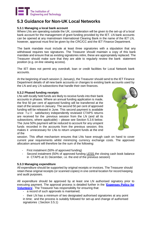

## **5.3 Guidance for Non-UK Local Networks**

#### **5.3.1 Managing a local bank account**

Where LNs are operating outside the UK, consideration will be given to the set-up of a local bank account for the management of grant funding provided by the IET. LN bank accounts can be opened at any mainstream International Clearing Bank in the name of the IET LN, however, approval must first be given by the CRC/CC and the IET Finance Department.

The bank mandate must include at least three signatories with a stipulation that any withdrawal requires two signatures. The Treasurer should maintain a copy of this bank mandate and ensure that as existing signatories retire, these are appropriately replaced. The Treasurer should make sure that they are able to regularly review the bank statement position (e.g. on-line viewing access).

The IET does not permit any overdraft, loan or credit facilities for Local Network bank accounts.

At the beginning of each session (1 January), the Treasurer should send to the IET Finance Department details of all new bank accounts or changes to existing bank accounts used by the LN and any LN subsections that handle their own finances.

#### **5.3.2 Phased funding receipts**

LNs with locally held funds are likely to receive funds into their bank accounts in phases. Where an annual funding application is made, the first 50 per cent of approved funding will be transferred at the start of the session in January. The second 50 per cent of approved funding will be released in June. This second payment is available once full satisfactory independently reviewed CTAPS returns are received for the previous session from the LN (and all its subsections, where applicable) – please see Section 5.3.6 below. The June 50% payment will be reduced to account for any unspent funds recorded in the accounts from the previous session; this makes it unnecessary for LNs to return unspent funds at the end of the



session. This offset mechanism ensures that LNs have enough cash on hand to cover current year requirements whilst minimizing currency exchange costs. The approved allocation amount will therefore be the sum of the following:

- First instalment (50% of approved funding)
- Second instalment (50% of approved funding LESS the closing cash book balance in CTAPS at 31 December, i.e. the end of the previous session)

#### **5.3.3 Managing expenditure**

All expenditure should be supported by original receipts or invoices. The Treasurer should retain these original receipts (or scanned copies) in one central location for record keeping and audit purposes.

All expenditure should be approved by at least one LN authorised signatory prior to executing payment. The approval process is detailed further in the '**Expenses Policy for Volunteers**'. The Treasurer has responsibility for ensuring that:

- a record of such approvals is maintained;

- their LN has a minimum of two designated authorised signatories at any point in time; and the process is suitably followed for set-up and change of authorised signatories ( Section 3.5.1)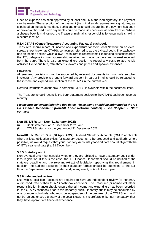

Once an expense has been approved by at least one LN authorised signatory, the payment can be made. The execution of the payment (i.e. withdrawal) requires two signatories, as stipulated on the bank mandate. Both signatories should ensure that the payment has been approved/authorised. Such payments could be made via cheque or via bank transfer. Where a cheque book is maintained, the Treasurer maintains responsibility for ensuring it is held in a secure location.

#### **5.3.4 CTAPS (Centre Treasurers Accounting Package) cashbook**

Treasurers should record all income and expenditure for their Local Network on an excel spread sheet known as CTAPS, sometimes referred to as the LN cashbook. The cashbook has an income section which allows Treasurers to record items like funding allocations from the IET, delegate income, sponsorship received from local partners and interest received from the bank. There is also an expenditure section to record any costs related to LN activities like venue hire, refreshments, awards and prizes and speaker expenses.

#### Provisions:

All year end provisions must be supported by relevant documentation (normally supplier invoices). Any provisions brought forward unspent in part or in full should be released to the income and expenditure section of the CTAPS in the current year.

Detailed instructions about how to complete CTAPS is available within the document itself.

The Treasurer should reconcile the bank statement position to the CTAPS cashbook records monthly.

#### *Please note below the following due dates. These items should be submitted to the IET UK Finance Department (Non-UK Local Network contact) – see Chapter 7: Staff contacts*

#### **Non-UK LN Return Due (31 January 2022):**

- (i) Bank statement at 31 December 2021; and
- (ii) CTAPS returns for the year ended 31 December 2021.

**Non-UK LN Return Due (30 April 2022):** Audited Statutory Accounts (ONLY applicable where a local obligation exists for statutory accounts to be produced and audited). Where possible, we would request that your Statutory Accounts year-end date should align with that of IET's year-end date (i.e. 31 December).

#### **5.3.5 Statutory audit**

Non-UK local LNs must consider whether they are obliged to have a statutory audit under local legislation. If this is the case, the IET Finance Department should be notified of the statutory deadline and the relevant extract of legislation specifying this requirement. In addition, the audited accounts (in their statutory format) should be submitted to the IET Finance Department once completed and, in any event, in April of each year.

#### **5.3.6 Independent review**

LNs with a local bank account are required to have an independent review (or honorary audit) conducted of their CTAPS cashbook each year. The Treasurer (or named volunteer responsible for finance) should ensure that all income and expenditure has been recorded in the CTAPS cashbook prior to this honorary audit. Honorary audits may be conducted by one or more individuals, who must be independent of the preparer of the CTAPS form and not be an authorised signatory of the Local Network. It is preferable, but not mandatory, that they have appropriate financial experience.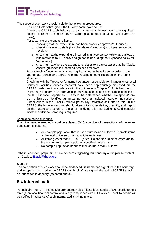

The scope of such work should include the following procedures:

- Ensure all totals throughout the CTAPS cashbook add up;
- Agree the CTAPS cash balance to bank statement (investigating any significant timing differences to ensure they are valid e.g. a cheque that has not yet cleared the bank);
- For a sample of expenditure items:
	- o checking that the expenditure has been properly approved/authorised;
	- $\circ$  checking relevant details (including dates & amounts) to original supporting receipts;
	- $\circ$  checking that the expenditure incurred is in accordance with what is allowed with reference to IET policy and guidance (including the 'Expenses policy for Volunteers');
	- $\circ$  checking that where the expenditure relates to a capital asset that the 'Capital' Assets' guidance in Chapter 4 has been followed.
- For a sample of income items, checking that amounts have been recorded in the appropriate period and agree with the receipt amount recorded in the bank statement;
- Checking with the Treasurer (or named volunteer responsible for finance) whether all Donated Facilities/Services received have been appropriately disclosed on the CTAPS cashbook in accordance with the guidance in Chapter 2 of this handbook.
- Reporting all uncorrected errors/exceptions/instances of non-compliance identified to the IET Finance Department. It should be determined whether exceptions/nonc o m p l i a n c e s identified during testing are of an isolated nature or indicative of further errors in the CTAPS. Where potentially indicative of further errors in the CTAPS, the honorary auditor should attempt to further define, quantify, and report on the nature and extent of the error. In doing this, the auditor should consider whether additional sampling is required.

#### Sample selection guidance:

The initial sample selected should be at least 10% (by number of transactions) of the entire population, except that:

- Any sample population that is used must include at least 10 sample items or the total universe of items, whichever is less;
- All items greater than GBP 500 (or equivalent) should be selected (up to the maximum sample population specified herein); and
- No sample population needs to include more than 25 items.

If the independent preparer has any concerns regarding this honorary audit, please contact Ian Davis at [IDavis@theiet.org](mailto:IDavis@theiet.org)

#### Sign-off

The completion of such work should be evidenced via name and signature in the honorary auditor spaces provided in the CTAPS cashbook. Once signed, the audited CTAPS should be submitted in January (as noted above).

## **5.4 Internal audit**

Periodically, the IET Finance Department may also initiate local audits of LN records to help strengthen local financial control and verify compliance with IET Policies. Local Networks will be notified in advance of such internal audits taking place.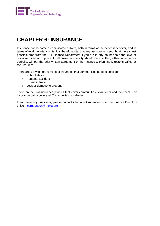

## <span id="page-32-0"></span>**CHAPTER 6: INSURANCE**

Insurance has become a complicated subject, both in terms of the necessary cover, and in terms of total monetary limits. It is therefore vital that any assistance is sought at the earliest possible time from the IET Finance Department if you are in any doubt about the level of cover required or in place. In all cases, no liability should be admitted, either in writing or verbally, without the prior written agreement of the Finance & Planning Director's Office or the Insurers.

There are a few different types of insurance that communities need to consider:

- o Public liability
- o Personal accident
- o Business travel
- o Loss or damage to property.

There are central insurance policies that cover communities, volunteers and members. This insurance policy covers all Communities worldwide

If you have any questions, please contact Charlotte Cruttenden from the Finance Director's office – ccruttenden@theiet.org